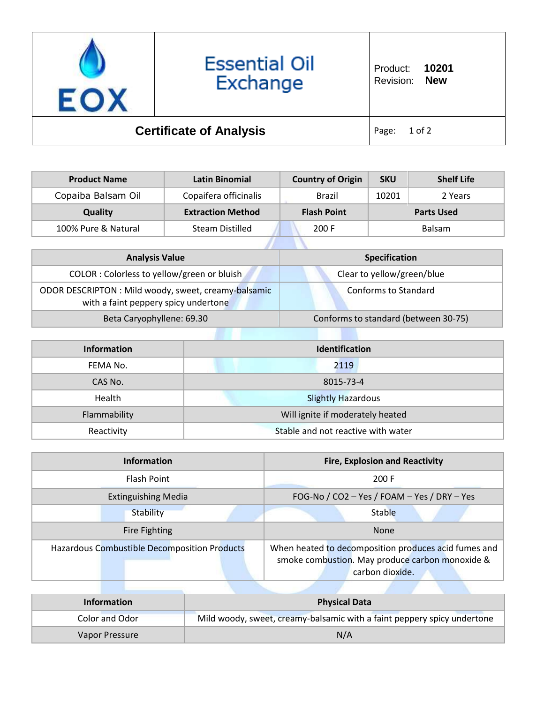

| <b>Product Name</b> | Latin Binomial           | <b>Country of Origin</b> | <b>SKU</b> | <b>Shelf Life</b> |
|---------------------|--------------------------|--------------------------|------------|-------------------|
| Copaiba Balsam Oil  | Copaifera officinalis    | Brazil                   | 10201      | 2 Years           |
| <b>Quality</b>      | <b>Extraction Method</b> | <b>Flash Point</b>       |            | <b>Parts Used</b> |
| 100% Pure & Natural | <b>Steam Distilled</b>   | 200 F                    |            | <b>Balsam</b>     |
|                     |                          |                          |            |                   |

| <b>Analysis Value</b>                                                                        | <b>Specification</b>                 |
|----------------------------------------------------------------------------------------------|--------------------------------------|
| COLOR : Colorless to yellow/green or bluish                                                  | Clear to yellow/green/blue           |
| ODOR DESCRIPTON : Mild woody, sweet, creamy-balsamic<br>with a faint peppery spicy undertone | Conforms to Standard                 |
| Beta Caryophyllene: 69.30                                                                    | Conforms to standard (between 30-75) |

| <b>Information</b> | Identification                     |  |
|--------------------|------------------------------------|--|
| FEMA No.           | 2119                               |  |
| CAS No.            | 8015-73-4                          |  |
| Health             | <b>Slightly Hazardous</b>          |  |
| Flammability       | Will ignite if moderately heated   |  |
| Reactivity         | Stable and not reactive with water |  |

| <b>Information</b>                                  | <b>Fire, Explosion and Reactivity</b>                                                                                      |  |
|-----------------------------------------------------|----------------------------------------------------------------------------------------------------------------------------|--|
| <b>Flash Point</b>                                  | 200 F                                                                                                                      |  |
| <b>Extinguishing Media</b>                          | FOG-No / CO2 - Yes / FOAM - Yes / DRY - Yes                                                                                |  |
| Stability                                           | Stable                                                                                                                     |  |
| Fire Fighting                                       | <b>None</b>                                                                                                                |  |
| <b>Hazardous Combustible Decomposition Products</b> | When heated to decomposition produces acid fumes and<br>smoke combustion. May produce carbon monoxide &<br>carbon dioxide. |  |

| <b>Information</b> | <b>Physical Data</b>                                                    |
|--------------------|-------------------------------------------------------------------------|
| Color and Odor     | Mild woody, sweet, creamy-balsamic with a faint peppery spicy undertone |
| Vapor Pressure     | N/A                                                                     |